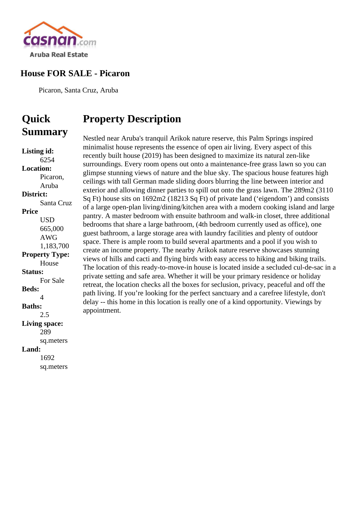

## **House FOR SALE - Picaron**

Picaron, Santa Cruz, Aruba

## **Property Description**

Nestled near Aruba's tranquil Arikok nature reserve, this Palm Springs inspired minimalist house represents the essence of open air living. Every aspect of this recently built house (2019) has been designed to maximize its natural zen-like surroundings. Every room opens out onto a maintenance-free grass lawn so you can glimpse stunning views of nature and the blue sky. The spacious house features high ceilings with tall German made sliding doors blurring the line between interior and exterior and allowing dinner parties to spill out onto the grass lawn. The 289m2 (3110) Sq Ft) house sits on 1692m2 (18213 Sq Ft) of private land ('eigendom') and consists of a large open-plan living/dining/kitchen area with a modern cooking island and large pantry. A master bedroom with ensuite bathroom and walk-in closet, three additional bedrooms that share a large bathroom, (4th bedroom currently used as office), one guest bathroom, a large storage area with laundry facilities and plenty of outdoor space. There is ample room to build several apartments and a pool if you wish to create an income property. The nearby Arikok nature reserve showcases stunning views of hills and cacti and flying birds with easy access to hiking and biking trails. The location of this ready-to-move-in house is located inside a secluded cul-de-sac in a private setting and safe area. Whether it will be your primary residence or holiday retreat, the location checks all the boxes for seclusion, privacy, peaceful and off the path living. If you're looking for the perfect sanctuary and a carefree lifestyle, don't delay -- this home in this location is really one of a kind opportunity. Viewings by appointment.

**Listing id:** 6254 **Location:** Picaron, Aruba **District:** Santa Cruz **Price** USD 665,000 AWG 1,183,700 **Property Type:** House **Status:** For Sale **Beds:** 4 **Baths:** 2.5 **Living space:** 289 sq.meters **Land:** 1692 sq.meters

**Quick**

**Summary**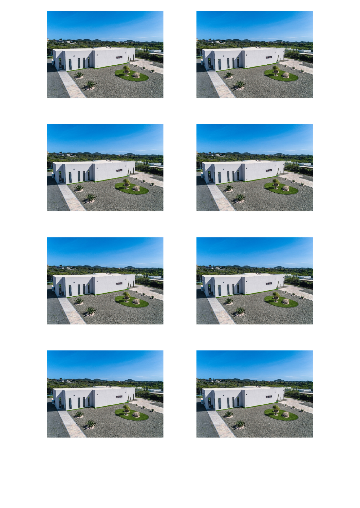













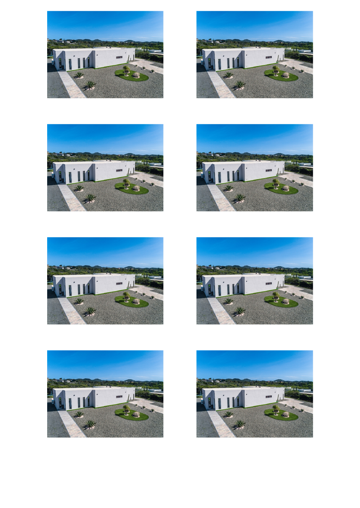













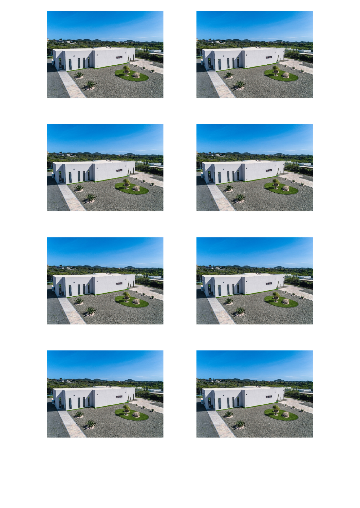